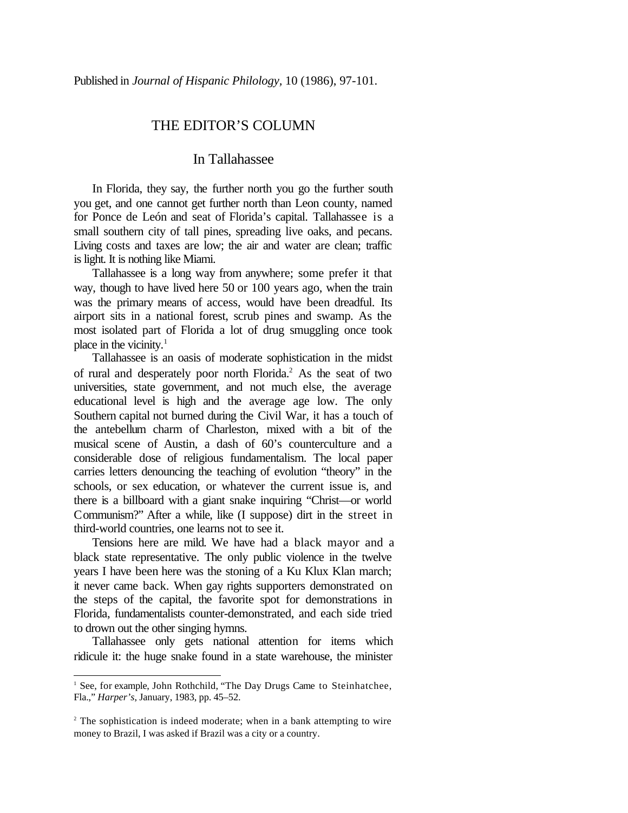## THE EDITOR'S COLUMN

## In Tallahassee

In Florida, they say, the further north you go the further south you get, and one cannot get further north than Leon county, named for Ponce de León and seat of Florida's capital. Tallahassee is a small southern city of tall pines, spreading live oaks, and pecans. Living costs and taxes are low; the air and water are clean; traffic is light. It is nothing like Miami.

Tallahassee is a long way from anywhere; some prefer it that way, though to have lived here 50 or 100 years ago, when the train was the primary means of access, would have been dreadful. Its airport sits in a national forest, scrub pines and swamp. As the most isolated part of Florida a lot of drug smuggling once took place in the vicinity.<sup>1</sup>

Tallahassee is an oasis of moderate sophistication in the midst of rural and desperately poor north Florida.<sup>2</sup> As the seat of two universities, state government, and not much else, the average educational level is high and the average age low. The only Southern capital not burned during the Civil War, it has a touch of the antebellum charm of Charleston, mixed with a bit of the musical scene of Austin, a dash of 60's counterculture and a considerable dose of religious fundamentalism. The local paper carries letters denouncing the teaching of evolution "theory" in the schools, or sex education, or whatever the current issue is, and there is a billboard with a giant snake inquiring "Christ—or world Communism?" After a while, like (I suppose) dirt in the street in third-world countries, one learns not to see it.

Tensions here are mild. We have had a black mayor and a black state representative. The only public violence in the twelve years I have been here was the stoning of a Ku Klux Klan march; it never came back. When gay rights supporters demonstrated on the steps of the capital, the favorite spot for demonstrations in Florida, fundamentalists counter-demonstrated, and each side tried to drown out the other singing hymns.

Tallahassee only gets national attention for items which ridicule it: the huge snake found in a state warehouse, the minister

<sup>&</sup>lt;sup>1</sup> See, for example, John Rothchild, "The Day Drugs Came to Steinhatchee, Fla.," *Harper's*, January, 1983, pp. 45–52.

<sup>&</sup>lt;sup>2</sup> The sophistication is indeed moderate; when in a bank attempting to wire money to Brazil, I was asked if Brazil was a city or a country.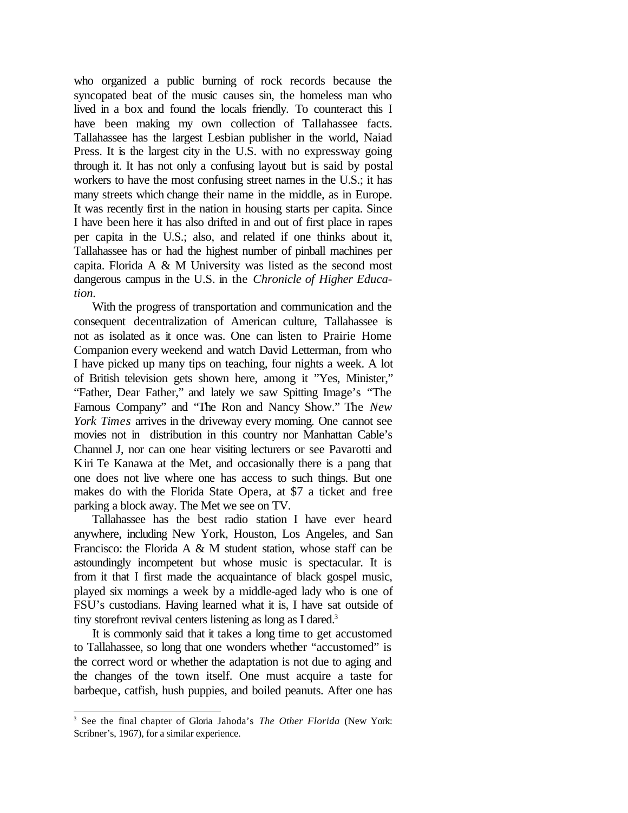who organized a public burning of rock records because the syncopated beat of the music causes sin, the homeless man who lived in a box and found the locals friendly. To counteract this I have been making my own collection of Tallahassee facts. Tallahassee has the largest Lesbian publisher in the world, Naiad Press. It is the largest city in the U.S. with no expressway going through it. It has not only a confusing layout but is said by postal workers to have the most confusing street names in the U.S.; it has many streets which change their name in the middle, as in Europe. It was recently first in the nation in housing starts per capita. Since I have been here it has also drifted in and out of first place in rapes per capita in the U.S.; also, and related if one thinks about it, Tallahassee has or had the highest number of pinball machines per capita. Florida A & M University was listed as the second most dangerous campus in the U.S. in the *Chronicle of Higher Education.*

With the progress of transportation and communication and the consequent decentralization of American culture, Tallahassee is not as isolated as it once was. One can listen to Prairie Home Companion every weekend and watch David Letterman, from who I have picked up many tips on teaching, four nights a week. A lot of British television gets shown here, among it "Yes, Minister," "Father, Dear Father," and lately we saw Spitting Image's "The Famous Company" and "The Ron and Nancy Show." The *New York Times* arrives in the driveway every morning. One cannot see movies not in distribution in this country nor Manhattan Cable's Channel J, nor can one hear visiting lecturers or see Pavarotti and Kiri Te Kanawa at the Met, and occasionally there is a pang that one does not live where one has access to such things. But one makes do with the Florida State Opera, at \$7 a ticket and free parking a block away. The Met we see on TV.

Tallahassee has the best radio station I have ever heard anywhere, including New York, Houston, Los Angeles, and San Francisco: the Florida A & M student station, whose staff can be astoundingly incompetent but whose music is spectacular. It is from it that I first made the acquaintance of black gospel music, played six mornings a week by a middle-aged lady who is one of FSU's custodians. Having learned what it is, I have sat outside of tiny storefront revival centers listening as long as I dared.<sup>3</sup>

It is commonly said that it takes a long time to get accustomed to Tallahassee, so long that one wonders whether "accustomed" is the correct word or whether the adaptation is not due to aging and the changes of the town itself. One must acquire a taste for barbeque, catfish, hush puppies, and boiled peanuts. After one has

<sup>3</sup> See the final chapter of Gloria Jahoda's *The Other Florida* (New York: Scribner's, 1967), for a similar experience.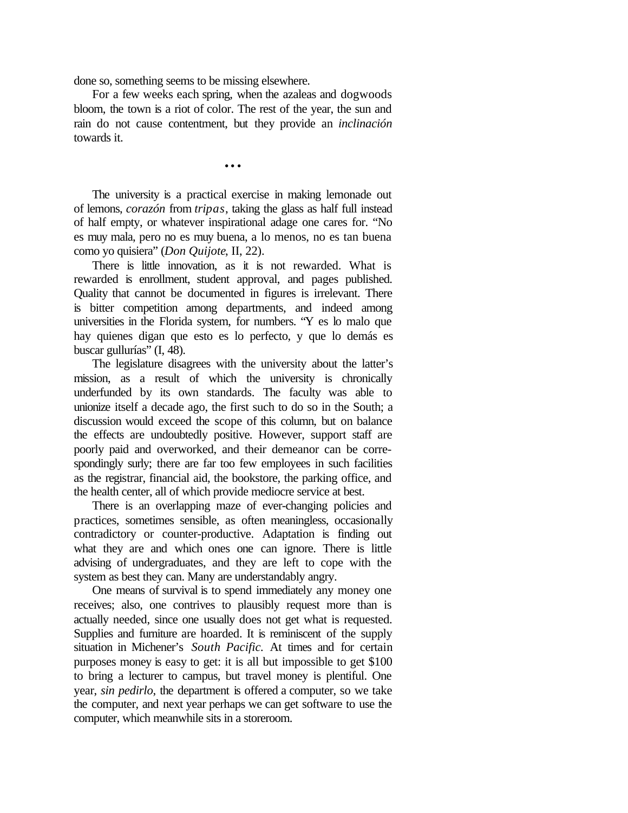done so, something seems to be missing elsewhere.

For a few weeks each spring, when the azaleas and dogwoods bloom, the town is a riot of color. The rest of the year, the sun and rain do not cause contentment, but they provide an *inclinación* towards it.

...

The university is a practical exercise in making lemonade out of lemons, *corazón* from *tripas*, taking the glass as half full instead of half empty, or whatever inspirational adage one cares for. "No es muy mala, pero no es muy buena, a lo menos, no es tan buena como yo quisiera" (*Don Quijote*, II, 22).

There is little innovation, as it is not rewarded. What is rewarded is enrollment, student approval, and pages published. Quality that cannot be documented in figures is irrelevant. There is bitter competition among departments, and indeed among universities in the Florida system, for numbers. "Y es lo malo que hay quienes digan que esto es lo perfecto, y que lo demás es buscar gullurías" (I, 48).

The legislature disagrees with the university about the latter's mission, as a result of which the university is chronically underfunded by its own standards. The faculty was able to unionize itself a decade ago, the first such to do so in the South; a discussion would exceed the scope of this column, but on balance the effects are undoubtedly positive. However, support staff are poorly paid and overworked, and their demeanor can be correspondingly surly; there are far too few employees in such facilities as the registrar, financial aid, the bookstore, the parking office, and the health center, all of which provide mediocre service at best.

There is an overlapping maze of ever-changing policies and practices, sometimes sensible, as often meaningless, occasionally contradictory or counter-productive. Adaptation is finding out what they are and which ones one can ignore. There is little advising of undergraduates, and they are left to cope with the system as best they can. Many are understandably angry.

One means of survival is to spend immediately any money one receives; also, one contrives to plausibly request more than is actually needed, since one usually does not get what is requested. Supplies and furniture are hoarded. It is reminiscent of the supply situation in Michener's *South Pacific.* At times and for certain purposes money is easy to get: it is all but impossible to get \$100 to bring a lecturer to campus, but travel money is plentiful. One year, *sin pedirlo*, the department is offered a computer, so we take the computer, and next year perhaps we can get software to use the computer, which meanwhile sits in a storeroom.